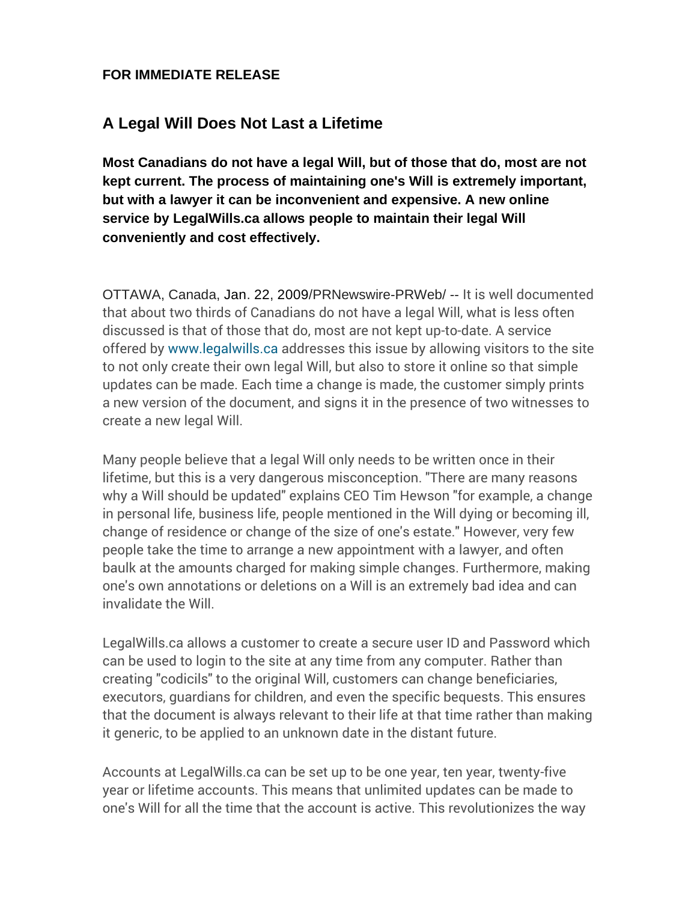## **FOR IMMEDIATE RELEASE**

## **A Legal Will Does Not Last a Lifetime**

**Most Canadians do not have a legal Will, but of those that do, most are not kept current. The process of maintaining one's Will is extremely important, but with a lawyer it can be inconvenient and expensive. A new online service by LegalWills.ca allows people to maintain their legal Will conveniently and cost effectively.**

OTTAWA, Canada, Jan. 22, 2009/PRNewswire-PRWeb/ -- It is well documented that about two thirds of Canadians do not have a legal Will, what is less often discussed is that of those that do, most are not kept up-to-date. A service offered by [www.legalwills.ca](https://www.legalwills.ca/) addresses this issue by allowing visitors to the site to not only create their own legal Will, but also to store it online so that simple updates can be made. Each time a change is made, the customer simply prints a new version of the document, and signs it in the presence of two witnesses to create a new legal Will.

Many people believe that a legal Will only needs to be written once in their lifetime, but this is a very dangerous misconception. "There are many reasons why a Will should be updated" explains CEO Tim Hewson "for example, a change in personal life, business life, people mentioned in the Will dying or becoming ill, change of residence or change of the size of one's estate." However, very few people take the time to arrange a new appointment with a lawyer, and often baulk at the amounts charged for making simple changes. Furthermore, making one's own annotations or deletions on a Will is an extremely bad idea and can invalidate the Will.

LegalWills.ca allows a customer to create a secure user ID and Password which can be used to login to the site at any time from any computer. Rather than creating "codicils" to the original Will, customers can change beneficiaries, executors, guardians for children, and even the specific bequests. This ensures that the document is always relevant to their life at that time rather than making it generic, to be applied to an unknown date in the distant future.

Accounts at LegalWills.ca can be set up to be one year, ten year, twenty-five year or lifetime accounts. This means that unlimited updates can be made to one's Will for all the time that the account is active. This revolutionizes the way